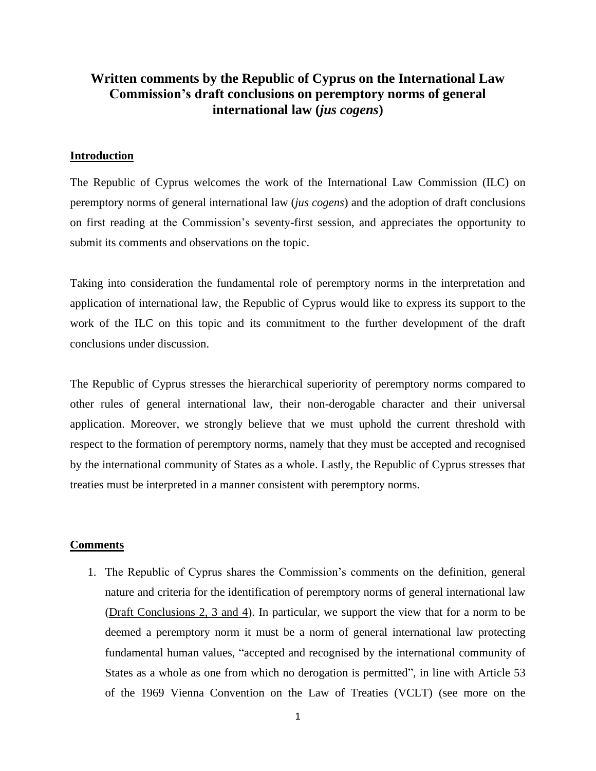## **Written comments by the Republic of Cyprus on the International Law Commission's draft conclusions on peremptory norms of general international law (***jus cogens***)**

## **Introduction**

The Republic of Cyprus welcomes the work of the International Law Commission (ILC) on peremptory norms of general international law (*jus cogens*) and the adoption of draft conclusions on first reading at the Commission's seventy-first session, and appreciates the opportunity to submit its comments and observations on the topic.

Taking into consideration the fundamental role of peremptory norms in the interpretation and application of international law, the Republic of Cyprus would like to express its support to the work of the ILC on this topic and its commitment to the further development of the draft conclusions under discussion.

The Republic of Cyprus stresses the hierarchical superiority of peremptory norms compared to other rules of general international law, their non-derogable character and their universal application. Moreover, we strongly believe that we must uphold the current threshold with respect to the formation of peremptory norms, namely that they must be accepted and recognised by the international community of States as a whole. Lastly, the Republic of Cyprus stresses that treaties must be interpreted in a manner consistent with peremptory norms.

## **Comments**

1. The Republic of Cyprus shares the Commission's comments on the definition, general nature and criteria for the identification of peremptory norms of general international law (Draft Conclusions 2, 3 and 4). In particular, we support the view that for a norm to be deemed a peremptory norm it must be a norm of general international law protecting fundamental human values, "accepted and recognised by the international community of States as a whole as one from which no derogation is permitted", in line with Article 53 of the 1969 Vienna Convention on the Law of Treaties (VCLT) (see more on the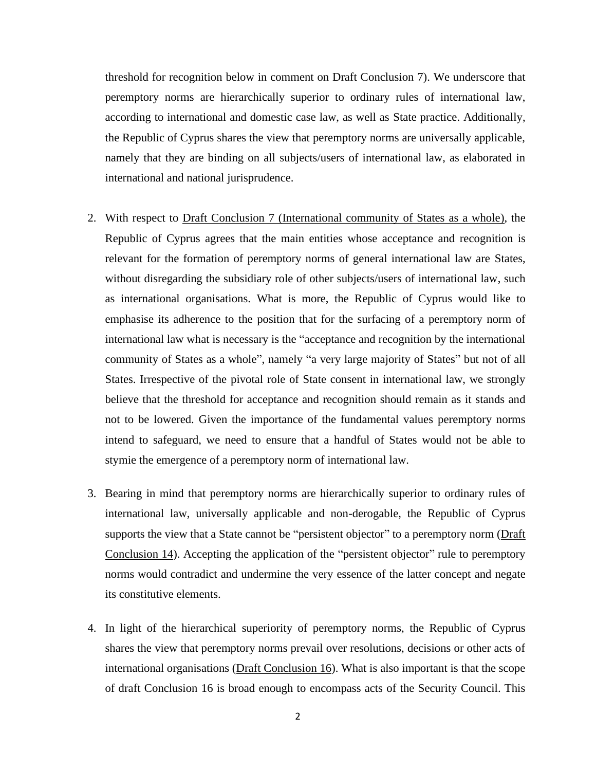threshold for recognition below in comment on Draft Conclusion 7). We underscore that peremptory norms are hierarchically superior to ordinary rules of international law, according to international and domestic case law, as well as State practice. Additionally, the Republic of Cyprus shares the view that peremptory norms are universally applicable, namely that they are binding on all subjects/users of international law, as elaborated in international and national jurisprudence.

- 2. With respect to Draft Conclusion 7 (International community of States as a whole), the Republic of Cyprus agrees that the main entities whose acceptance and recognition is relevant for the formation of peremptory norms of general international law are States, without disregarding the subsidiary role of other subjects/users of international law, such as international organisations. What is more, the Republic of Cyprus would like to emphasise its adherence to the position that for the surfacing of a peremptory norm of international law what is necessary is the "acceptance and recognition by the international community of States as a whole", namely "a very large majority of States" but not of all States. Irrespective of the pivotal role of State consent in international law, we strongly believe that the threshold for acceptance and recognition should remain as it stands and not to be lowered. Given the importance of the fundamental values peremptory norms intend to safeguard, we need to ensure that a handful of States would not be able to stymie the emergence of a peremptory norm of international law.
- 3. Bearing in mind that peremptory norms are hierarchically superior to ordinary rules of international law, universally applicable and non-derogable, the Republic of Cyprus supports the view that a State cannot be "persistent objector" to a peremptory norm (Draft Conclusion 14). Accepting the application of the "persistent objector" rule to peremptory norms would contradict and undermine the very essence of the latter concept and negate its constitutive elements.
- 4. In light of the hierarchical superiority of peremptory norms, the Republic of Cyprus shares the view that peremptory norms prevail over resolutions, decisions or other acts of international organisations (Draft Conclusion 16). What is also important is that the scope of draft Conclusion 16 is broad enough to encompass acts of the Security Council. This